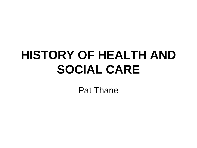# **HISTORY OF HEALTH AND SOCIAL CARE**

Pat Thane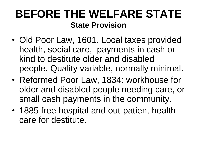#### **BEFORE THE WELFARE STATE State Provision**

- Old Poor Law, 1601. Local taxes provided health, social care, payments in cash or kind to destitute older and disabled people. Quality variable, normally minimal.
- Reformed Poor Law, 1834: workhouse for older and disabled people needing care, or small cash payments in the community.
- 1885 free hospital and out-patient health care for destitute.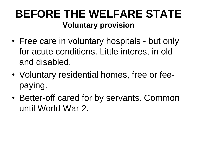#### **BEFORE THE WELFARE STATE Voluntary provision**

- Free care in voluntary hospitals but only for acute conditions. Little interest in old and disabled.
- Voluntary residential homes, free or feepaying.
- Better-off cared for by servants. Common until World War 2.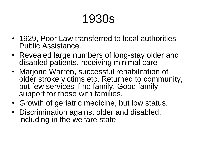- 1929, Poor Law transferred to local authorities: Public Assistance.
- Revealed large numbers of long-stay older and disabled patients, receiving minimal care
- Marjorie Warren, successful rehabilitation of older stroke victims etc. Returned to community, but few services if no family. Good family support for those with families.
- Growth of geriatric medicine, but low status.
- Discrimination against older and disabled, including in the welfare state.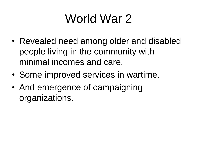# World War 2

- Revealed need among older and disabled people living in the community with minimal incomes and care.
- Some improved services in wartime.
- And emergence of campaigning organizations.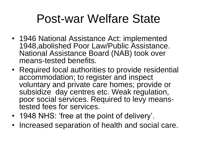## Post-war Welfare State

- 1946 National Assistance Act: implemented 1948,abolished Poor Law/Public Assistance. National Assistance Board (NAB) took over means-tested benefits.
- Required local authorities to provide residential accommodation; to register and inspect voluntary and private care homes; provide or subsidize day centres etc. Weak regulation, poor social services. Required to levy meanstested fees for services.
- 1948 NHS: 'free at the point of delivery'.
- Increased separation of health and social care.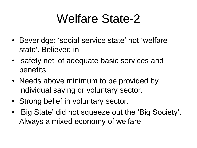# Welfare State-2

- Beveridge: 'social service state' not 'welfare state'. Believed in:
- 'safety net' of adequate basic services and benefits.
- Needs above minimum to be provided by individual saving or voluntary sector.
- Strong belief in voluntary sector.
- 'Big State' did not squeeze out the 'Big Society'. Always a mixed economy of welfare.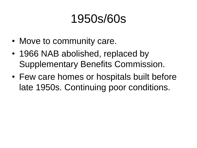### 1950s/60s

- Move to community care.
- 1966 NAB abolished, replaced by Supplementary Benefits Commission.
- Few care homes or hospitals built before late 1950s. Continuing poor conditions.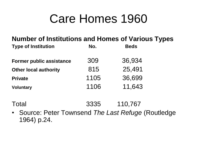### Care Homes 1960

#### **Number of Institutions and Homes of Various Types**

| <b>Type of Institution</b>      | No.  | <b>Beds</b> |
|---------------------------------|------|-------------|
| <b>Former public assistance</b> | 309  | 36,934      |
| <b>Other local authority</b>    | 815  | 25,491      |
| <b>Private</b>                  | 1105 | 36,699      |
| <b>Voluntary</b>                | 1106 | 11,643      |

Total 3335 110,767

• Source: Peter Townsend *The Last Refuge* (Routledge 1964) p.24.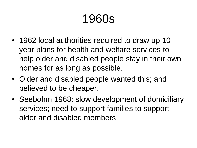- 1962 local authorities required to draw up 10 year plans for health and welfare services to help older and disabled people stay in their own homes for as long as possible.
- Older and disabled people wanted this; and believed to be cheaper.
- Seebohm 1968: slow development of domiciliary services; need to support families to support older and disabled members.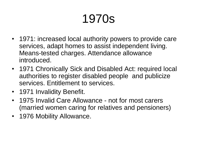- 1971: increased local authority powers to provide care services, adapt homes to assist independent living. Means-tested charges. Attendance allowance introduced.
- 1971 Chronically Sick and Disabled Act: required local authorities to register disabled people and publicize services. Entitlement to services.
- 1971 Invalidity Benefit.
- 1975 Invalid Care Allowance not for most carers (married women caring for relatives and pensioners)
- 1976 Mobility Allowance.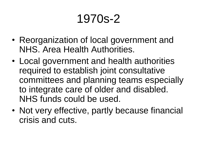# 1970s-2

- Reorganization of local government and NHS. Area Health Authorities.
- Local government and health authorities required to establish joint consultative committees and planning teams especially to integrate care of older and disabled. NHS funds could be used.
- Not very effective, partly because financial crisis and cuts.